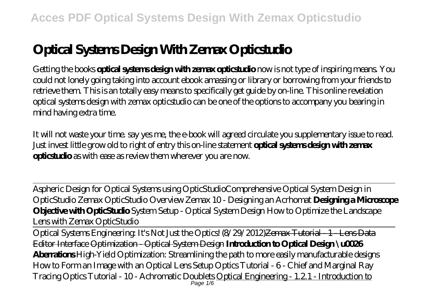# **Optical Systems Design With Zemax Opticstudio**

Getting the books **optical systems design with zemax opticstudio** now is not type of inspiring means. You could not lonely going taking into account ebook amassing or library or borrowing from your friends to retrieve them. This is an totally easy means to specifically get guide by on-line. This online revelation optical systems design with zemax opticstudio can be one of the options to accompany you bearing in mind having extra time.

It will not waste your time. say yes me, the e-book will agreed circulate you supplementary issue to read. Just invest little grow old to right of entry this on-line statement **optical systems design with zemax opticstudio** as with ease as review them wherever you are now.

Aspheric Design for Optical Systems using OpticStudio*Comprehensive Optical System Design in OpticStudio Zemax OpticStudio Overview Zemax 10 - Designing an Acrhomat* **Designing a Microscope Objective with OpticStudio** System Setup - Optical System Design How to Optimize the Landscape Lens with Zemax OpticStudio

Optical Systems Engineering: It's Not Just the Optics! (8/29/2012)Zemax Tutorial 1 Lens Data Editor Interface Optimization - Optical System Design **Introduction to Optical Design \u0026 Aberrations** High-Yield Optimization: Streamlining the path to more easily manufacturable designs How to Form an Image with an Optical Lens Setup Optics Tutorial - 6 - Chief and Marginal Ray Tracing *Optics Tutorial - 10 - Achromatic Doublets* Optical Engineering - 1.2.1 - Introduction to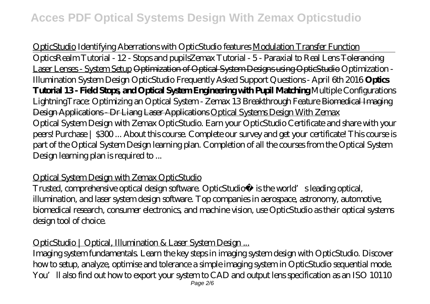OpticStudio *Identifying Aberrations with OpticStudio features* Modulation Transfer Function OpticsRealm Tutorial - 12 - Stops and pupils*Zemax Tutorial - 5 - Paraxial to Real Lens* Tolerancing Laser Lenses - System Setup <del>Optimization of Optical System Designs using OpticStudio</del> Optimization -Illumination System Design *OpticStudio Frequently Asked Support Questions - April 6th 2016* **Optics Tutorial 13 - Field Stops, and Optical System Engineering with Pupil Matching** *Multiple Configurations* LightningTrace: Optimizing an Optical System - Zemax 13 Breakthrough Feature Biomedical Imaging Design Applications - Dr Liang Laser Applications Optical Systems Design With Zemax Optical System Design with Zemax OpticStudio. Earn your OpticStudio Certificate and share with your peers! Purchase | \$300 ... About this course. Complete our survey and get your certificate! This course is part of the Optical System Design learning plan. Completion of all the courses from the Optical System Design learning plan is required to ...

### Optical System Design with Zemax OpticStudio

Trusted, comprehensive optical design software. OpticStudio® is the world's leading optical, illumination, and laser system design software. Top companies in aerospace, astronomy, automotive, biomedical research, consumer electronics, and machine vision, use OpticStudio as their optical systems design tool of choice.

### OpticStudio | Optical, Illumination & Laser System Design...

Imaging system fundamentals. Learn the key steps in imaging system design with OpticStudio. Discover how to setup, analyze, optimise and tolerance a simple imaging system in OpticStudio sequential mode. You'll also find out how to export your system to CAD and output lens specification as an ISO 10110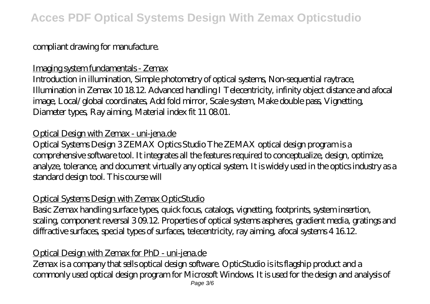# **Acces PDF Optical Systems Design With Zemax Opticstudio**

# compliant drawing for manufacture.

#### Imaging system fundamentals - Zemax

Introduction in illumination, Simple photometry of optical systems, Non-sequential raytrace, Illumination in Zemax 10 18.12. Advanced handling I Telecentricity, infinity object distance and afocal image, Local/global coordinates, Add fold mirror, Scale system, Make double pass, Vignetting, Diameter types, Ray aiming, Material index fit 11 08.01.

### Optical Design with Zemax - uni-jena.de

Optical Systems Design 3 ZEMAX Optics Studio The ZEMAX optical design program is a comprehensive software tool. It integrates all the features required to conceptualize, design, optimize, analyze, tolerance, and document virtually any optical system. It is widely used in the optics industry as a standard design tool. This course will

### Optical Systems Design with Zemax OpticStudio

Basic Zemax handling surface types, quick focus, catalogs, vignetting, footprints, system insertion, scaling, component reversal 3 09.12. Properties of optical systems aspheres, gradient media, gratings and diffractive surfaces, special types of surfaces, telecentricity, ray aiming, afocal systems 4 16.12.

# Optical Design with Zemax for PhD - uni-jena.de

Zemax is a company that sells optical design software. OpticStudio is its flagship product and a commonly used optical design program for Microsoft Windows. It is used for the design and analysis of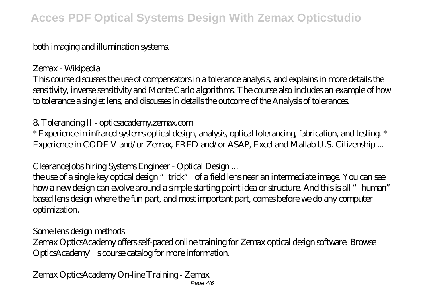# **Acces PDF Optical Systems Design With Zemax Opticstudio**

# both imaging and illumination systems.

#### Zemax - Wikipedia

This course discusses the use of compensators in a tolerance analysis, and explains in more details the sensitivity, inverse sensitivity and Monte Carlo algorithms. The course also includes an example of how to tolerance a singlet lens, and discusses in details the outcome of the Analysis of tolerances.

#### 8. Tolerancing II - opticsacademy.zemax.com

\* Experience in infrared systems optical design, analysis, optical tolerancing, fabrication, and testing. \* Experience in CODE V and/or Zemax, FRED and/or ASAP, Excel and Matlab U.S. Citizenship ...

### ClearanceJobs hiring Systems Engineer - Optical Design ...

the use of a single key optical design "trick" of a field lens near an intermediate image. You can see how a new design can evolve around a simple starting point idea or structure. And this is all "human" based lens design where the fun part, and most important part, comes before we do any computer optimization.

#### Some lens design methods

Zemax OpticsAcademy offers self-paced online training for Zemax optical design software. Browse OpticsAcademy's course catalog for more information.

Zemax OpticsAcademy On-line Training - Zemax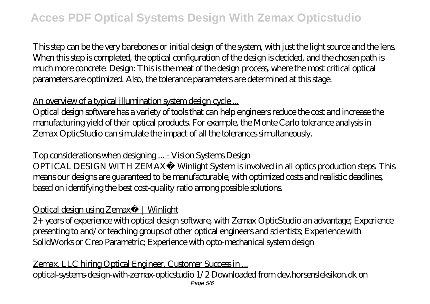This step can be the very barebones or initial design of the system, with just the light source and the lens. When this step is completed, the optical configuration of the design is decided, and the chosen path is much more concrete. Design: This is the meat of the design process, where the most critical optical parameters are optimized. Also, the tolerance parameters are determined at this stage.

# An overview of a typical illumination system design cycle...

Optical design software has a variety of tools that can help engineers reduce the cost and increase the manufacturing yield of their optical products. For example, the Monte Carlo tolerance analysis in Zemax OpticStudio can simulate the impact of all the tolerances simultaneously.

Top considerations when designing ... - Vision Systems Design

OPTICAL DESIGN WITH ZEMAX® Winlight System is involved in all optics production steps. This means our designs are guaranteed to be manufacturable, with optimized costs and realistic deadlines, based on identifying the best cost-quality ratio among possible solutions.

# Optical design using Zemax® | Winlight

2+ years of experience with optical design software, with Zemax OpticStudio an advantage; Experience presenting to and/or teaching groups of other optical engineers and scientists; Experience with SolidWorks or Creo Parametric; Experience with opto-mechanical system design

Zemax, LLC hiring Optical Engineer, Customer Success in ... optical-systems-design-with-zemax-opticstudio 1/2 Downloaded from dev.horsensleksikon.dk on Page 5/6